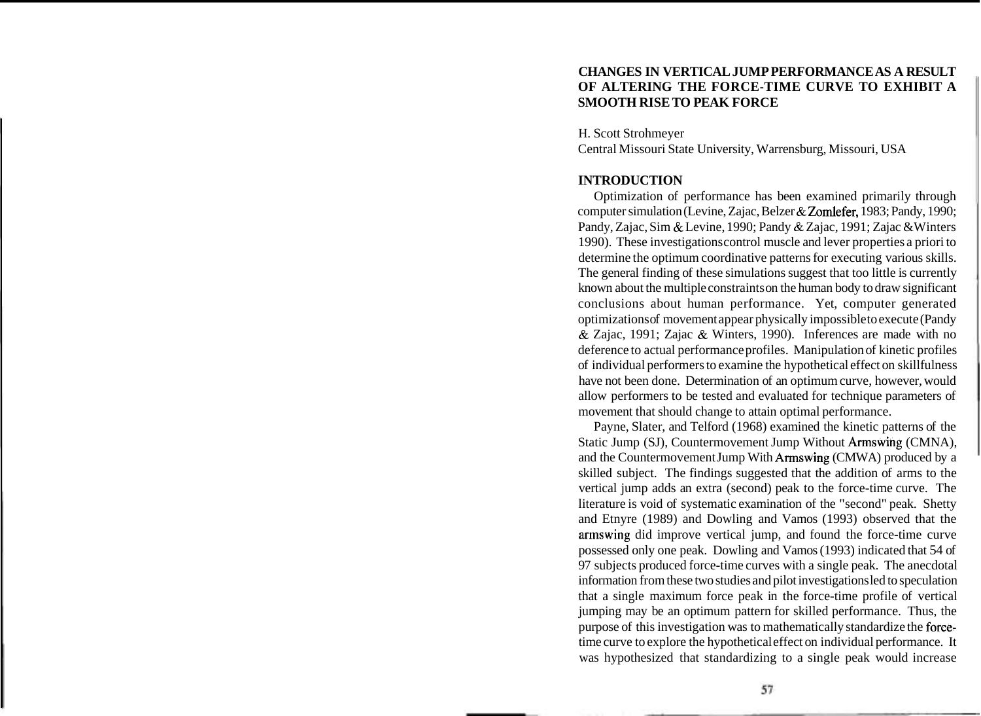## **CHANGES IN VERTICAL JUMP PERFORMANCE AS A RESULT OF ALTERING THE FORCE-TIME CURVE TO EXHIBIT A SMOOTH RISE TO PEAK FORCE**

H. Scott Strohmeyer

Central Missouri State University, Warrensburg, Missouri, USA

### **INTRODUCTION**

Optimization of performance has been examined primarily through computer simulation (Levine, Zajac, Belzer & Zomlefer, 1983; Pandy, 1990; Pandy, Zajac, Sim & Levine, 1990; Pandy & Zajac, 1991; Zajac & Winters 1990). These investigations control muscle and lever properties a priori to determine the optimum coordinative patterns for executing various skills. The general finding of these simulations suggest that too little is currently known about the multiple constraints on the human body to draw significant conclusions about human performance. Yet, computer generated optimizations of movement appear physically impossible to execute (Pandy & Zajac, 1991; Zajac & Winters, 1990). Inferences are made with no deference to actual performance profiles. Manipulation of kinetic profiles of individual performers to examine the hypothetical effect on skillfulness have not been done. Determination of an optimum curve, however, would allow performers to be tested and evaluated for technique parameters of movement that should change to attain optimal performance.

Payne, Slater, and Telford (1968) examined the kinetic patterns of the Static Jump (SJ), Countermovement Jump Without Armswing (CMNA), and the Countermovement Jump With Armswing (CMWA) produced by a skilled subject. The findings suggested that the addition of arms to the vertical jump adds an extra (second) peak to the force-time curve. The literature is void of systematic examination of the "second" peak. Shetty and Etnyre (1989) and Dowling and Vamos (1993) observed that the armswing did improve vertical jump, and found the force-time curve possessed only one peak. Dowling and Vamos (1993) indicated that 54 of 97 subjects produced force-time curves with a single peak. The anecdotal information from these two studies and pilot investigations led to speculation that a single maximum force peak in the force-time profile of vertical jumping may be an optimum pattern for skilled performance. Thus, the purpose of this investigation was to mathematically standardize the forcetime curve to explore the hypothetical effect on individual performance. It was hypothesized that standardizing to a single peak would increase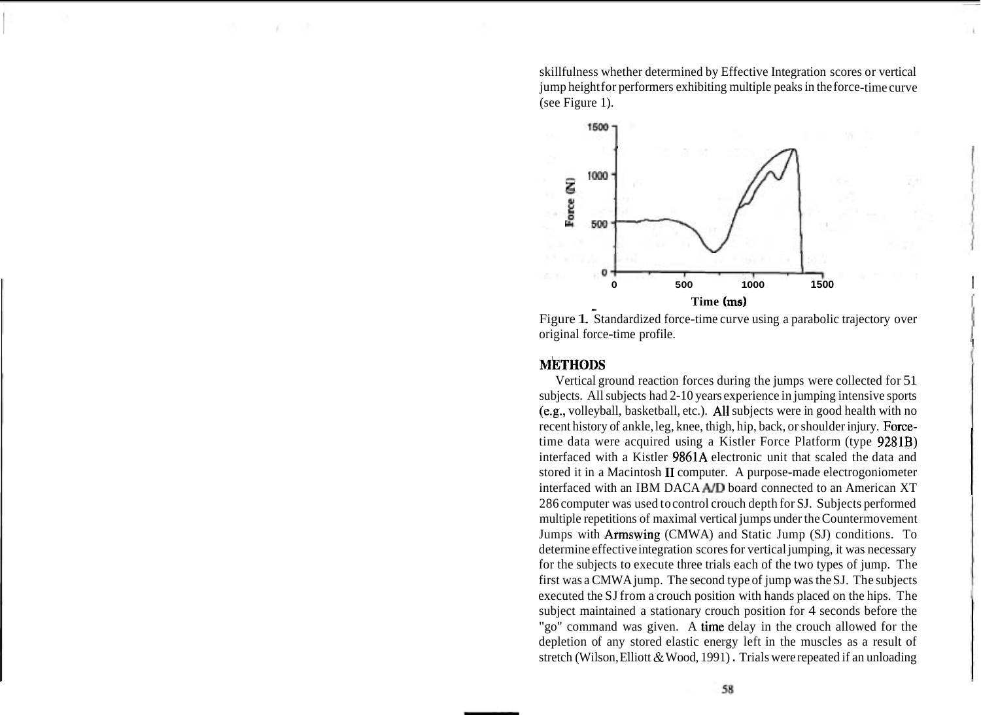skillfulness whether determined by Effective Integration scores or vertical jump height for performers exhibiting multiple peaks in the force-time curve (see Figure 1).



original force-time profile. 1

# **METHODS**

Vertical ground reaction forces during the jumps were collected for 51 subjects. All subjects had 2-10 years experience in jumping intensive sports (e.g., volleyball, basketball, etc.). All subjects were in good health with no recent history of ankle, leg, knee, thigh, hip, back, or shoulder injury. Forcetime data were acquired using a Kistler Force Platform (type 9281B) interfaced with a Kistler 9861A electronic unit that scaled the data and stored it in a Macintosh I1 computer. A purpose-made electrogoniometer interfaced with an IBM DACA AID board connected to an American XT 286 computer was used to control crouch depth for SJ. Subjects performed multiple repetitions of maximal vertical jumps under the Countermovement Jumps with Armswing (CMWA) and Static Jump (SJ) conditions. To determine effective integration scores for vertical jumping, it was necessary for the subjects to execute three trials each of the two types of jump. The first was a CMWA jump. The second type of jump was the SJ. The subjects executed the SJ from a crouch position with hands placed on the hips. The subject maintained a stationary crouch position for 4 seconds before the "go" command was given. A time delay in the crouch allowed for the depletion of any stored elastic energy left in the muscles as a result of stretch (Wilson, Elliott & Wood, 1991) . Trials were repeated if an unloading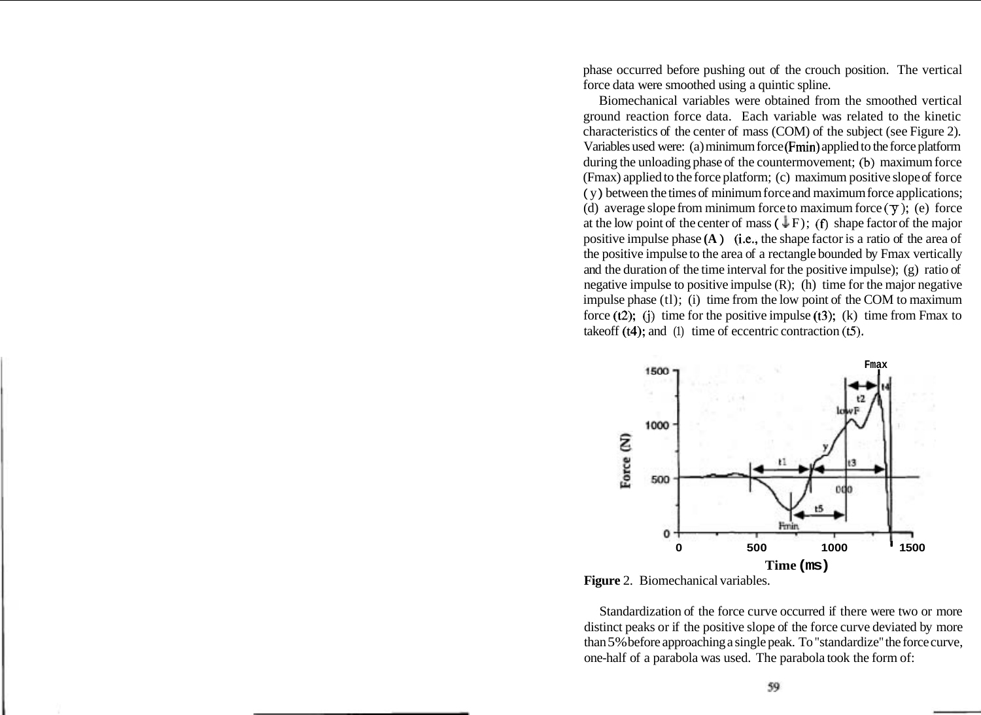phase occurred before pushing out of the crouch position. The vertical force data were smoothed using a quintic spline.

Biomechanical variables were obtained from the smoothed vertical ground reaction force data. Each variable was related to the kinetic characteristics of the center of mass (COM) of the subject (see Figure 2). Variables used were: (a) minimum force (Frnin) applied to the force platform during the unloading phase of the countermovement; (b) maximum force (Fmax) applied to the force platform; (c) maximum positive slope of force ( y ) between the times of minimum force and maximum force applications; (d) average slope from minimum force to maximum force  $(\bar{y})$ ; (e) force at the low point of the center of mass  $(\downarrow F)$ ; (f) shape factor of the major positive impulse phase **(A** ) (i.e., the shape factor is a ratio of the area of the positive impulse to the area of a rectangle bounded by Fmax vertically and the duration of the time interval for the positive impulse); (g) ratio of negative impulse to positive impulse  $(R)$ ;  $(h)$  time for the major negative impulse phase (tl); (i) time from the low point of the COM to maximum force  $(t2)$ ; (i) time for the positive impulse  $(t3)$ ; (k) time from Fmax to takeoff (t4); and (1) time of eccentric contraction **(t5).** 



**Figure** 2. Biomechanical variables.

Standardization of the force curve occurred if there were two or more distinct peaks or if the positive slope of the force curve deviated by more than 5% before approaching a single peak. To "standardize" the force curve, one-half of a parabola was used. The parabola took the form of: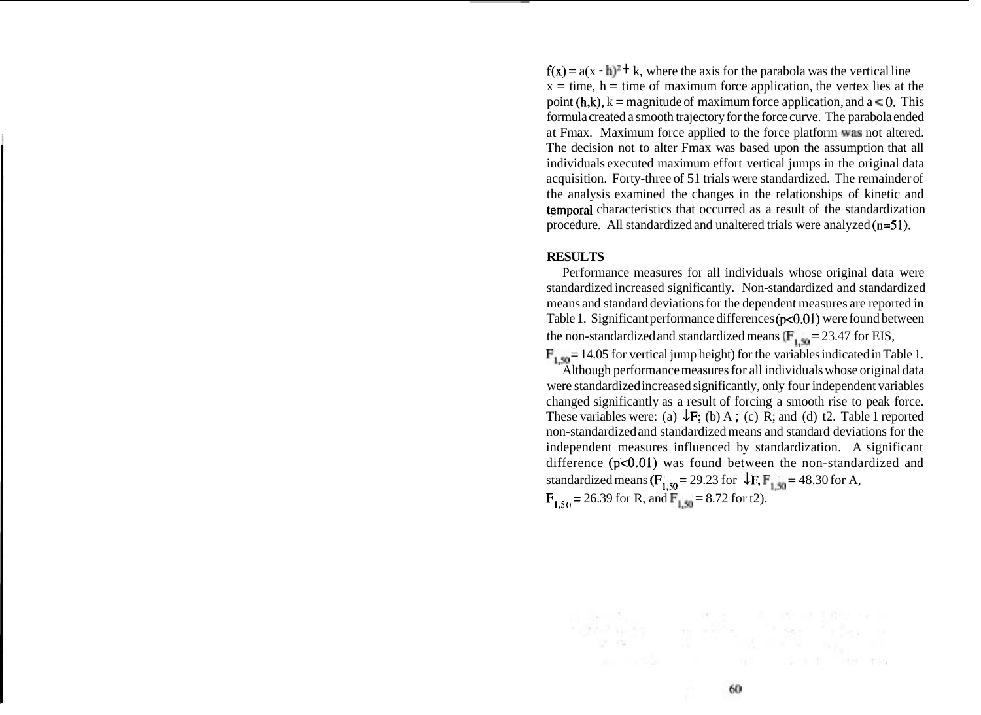$f(x) = a(x - h)^2 + k$ , where the axis for the parabola was the vertical line  $x =$  time, h = time of maximum force application, the vertex lies at the point  $(h,k)$ ,  $k =$  magnitude of maximum force application, and a  $\leq 0$ . This formula created a smooth trajectory for the force curve. The parabola ended at Fmax. Maximum force applied to the force platform  $\overline{w}$  as not altered. The decision not to alter Fmax was based upon the assumption that all individuals executed maximum effort vertical jumps in the original data acquisition. Forty-three of 51 trials were standardized. The remainder of the analysis examined the changes in the relationships of kinetic and temporal characteristics that occurred as a result of the standardization procedure. All standardized and unaltered trials were analyzed (n=51).

#### **RESULTS**

Performance measures for all individuals whose original data were standardized increased significantly. Non-standardized and standardized means and standard deviations for the dependent measures are reported in Table 1. Significant performance differences ( $p<0.01$ ) were found between the non-standardized and standardized means ( $F_{1,50} = 23.47$  for EIS,

 $\mathbf{F}_{1,50} = 14.05$  for vertical jump height) for the variables indicated in Table 1. Although performance measures for all individuals whose original data were standardized increased significantly, only four independent variables changed significantly as a result of forcing a smooth rise to peak force. These variables were: (a)  $\overline{\downarrow}$  F; (b) A; (c) R; and (d) t2. Table 1 reported non-standardized and standardized means and standard deviations for the independent measures influenced by standardization. A significant difference ( $p<0.01$ ) was found between the non-standardized and standardized means ( $\mathbf{F}_{1,50} = 29.23$  for  $\downarrow \mathbf{F}, \mathbf{F}_{1,50} = 48.30$  for A,  $F_{1,50}$  = 26.39 for R, and  $F_{1,50}$  = 8.72 for t2).

The main common free most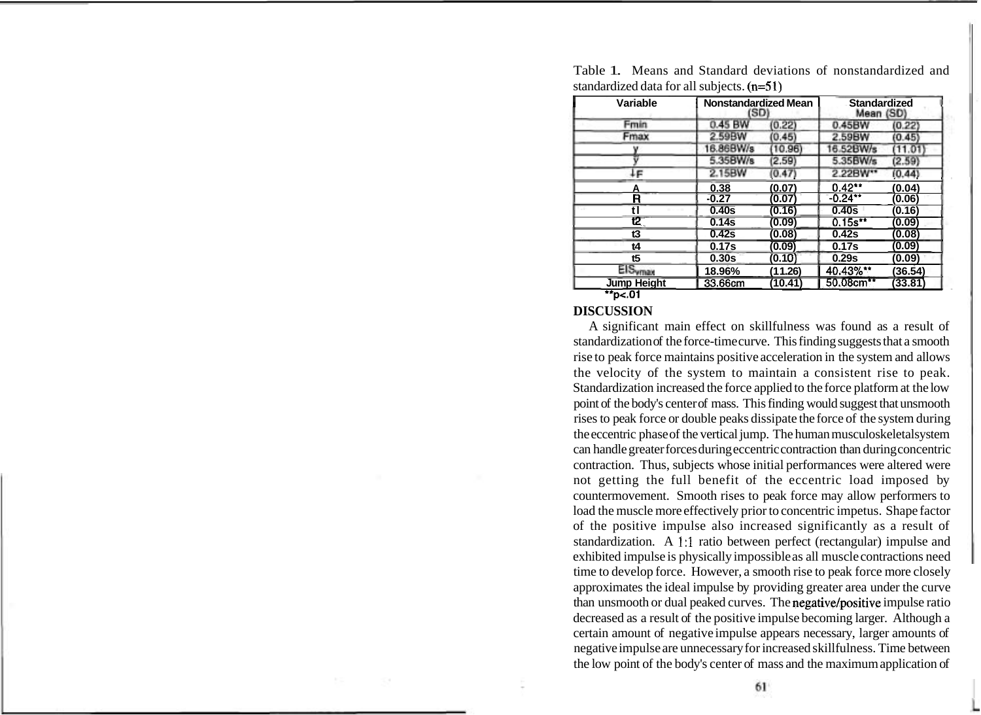| Variable           | Nonstandardized Mean<br>(SD) |         | <b>Standardized</b><br>Mean (SD) |         |
|--------------------|------------------------------|---------|----------------------------------|---------|
| Fmin               | 0.45 BW                      | (0.22)  | 0.45BW                           | (0.22)  |
| Fmax               | 2.59BW                       | (0.45)  | 2.59BW                           | (0.45)  |
|                    | 16.86BW/s                    | 10.96   | 16.52BW/s                        | 11.01   |
|                    | 5.35BW/s                     | (2.59)  | 5.35BW/s                         | (2.59)  |
| ŀΕ                 | 2.15BW                       | (0.47)  | 2.22BW**                         | (0.44)  |
| Α                  | 0.38                         | (0.07)  | $0.42***$                        | (0.04)  |
| R                  | $-0.27$                      | (0.07)  | $-0.24**$                        | (0.06)  |
|                    | 0.40s                        | (0.16)  | 0.40s                            | (0.16)  |
| t2 (               | 0.14s                        | (0.09)  | $0.15s**$                        | (0.09)  |
| t3                 | 0.42s                        | (0.08)  | 0.42s                            | (0.08)  |
| t4                 | 0.17s                        | (0.09)  | 0.17s                            | (0.09)  |
| t5                 | 0.30 <sub>S</sub>            | (0.10)  | 0.29s                            | (0.09)  |
| <b>EISymax</b>     | 18.96%                       | (11.26) | 40.43%**                         | (36.54) |
| <b>Jump Height</b> | 33.66cm                      | (10.41) | 50.08cm**                        | (33.81) |

Table 1. Means and Standard deviations of nonstandardized and standardized data for all subjects. (n=51)

## **DISCUSSION**

A significant main effect on skillfulness was found as a result of standardization of the force-time curve. This finding suggests that a smooth rise to peak force maintains positive acceleration in the system and allows the velocity of the system to maintain a consistent rise to peak. Standardization increased the force applied to the force platform at the low point of the body's center of mass. This finding would suggest that unsmooth rises to peak force or double peaks dissipate the force of the system during the eccentric phase of the vertical jump. The human musculoskeletal system can handle greater forces during eccentric contraction than during concentric contraction. Thus, subjects whose initial performances were altered were not getting the full benefit of the eccentric load imposed by countermovement. Smooth rises to peak force may allow performers to load the muscle more effectively prior to concentric impetus. Shape factor of the positive impulse also increased significantly as a result of standardization. A **1:l** ratio between perfect (rectangular) impulse and exhibited impulse is physically impossible as all muscle contractions need time to develop force. However, a smooth rise to peak force more closely approximates the ideal impulse by providing greater area under the curve than unsmooth or dual peaked curves. The negative/positive impulse ratio decreased as a result of the positive impulse becoming larger. Although a certain amount of negative impulse appears necessary, larger amounts of negative impulse are unnecessary for increased skillfulness. Time between the low point of the body's center of mass and the maximum application of